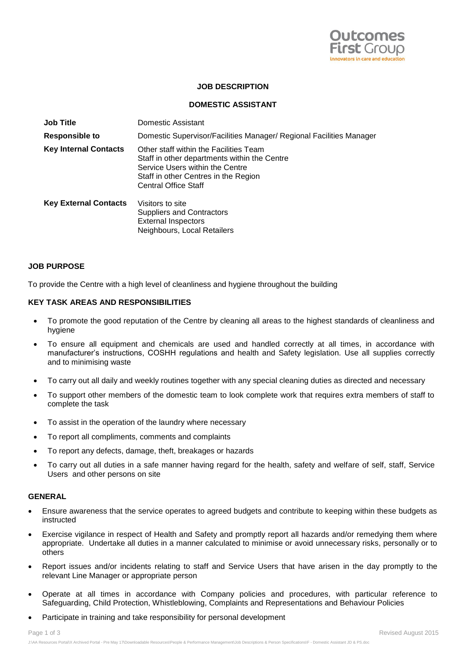

## **JOB DESCRIPTION**

### **DOMESTIC ASSISTANT**

| <b>Job Title</b>             | Domestic Assistant                                                                                                                                                                               |
|------------------------------|--------------------------------------------------------------------------------------------------------------------------------------------------------------------------------------------------|
| <b>Responsible to</b>        | Domestic Supervisor/Facilities Manager/ Regional Facilities Manager                                                                                                                              |
| <b>Key Internal Contacts</b> | Other staff within the Facilities Team<br>Staff in other departments within the Centre<br>Service Users within the Centre<br>Staff in other Centres in the Region<br><b>Central Office Staff</b> |
| <b>Key External Contacts</b> | Visitors to site<br><b>Suppliers and Contractors</b><br><b>External Inspectors</b><br>Neighbours, Local Retailers                                                                                |

#### **JOB PURPOSE**

To provide the Centre with a high level of cleanliness and hygiene throughout the building

### **KEY TASK AREAS AND RESPONSIBILITIES**

- To promote the good reputation of the Centre by cleaning all areas to the highest standards of cleanliness and hygiene
- To ensure all equipment and chemicals are used and handled correctly at all times, in accordance with manufacturer's instructions, COSHH regulations and health and Safety legislation. Use all supplies correctly and to minimising waste
- To carry out all daily and weekly routines together with any special cleaning duties as directed and necessary
- To support other members of the domestic team to look complete work that requires extra members of staff to complete the task
- To assist in the operation of the laundry where necessary
- To report all compliments, comments and complaints
- To report any defects, damage, theft, breakages or hazards
- To carry out all duties in a safe manner having regard for the health, safety and welfare of self, staff, Service Users and other persons on site

#### **GENERAL**

- Ensure awareness that the service operates to agreed budgets and contribute to keeping within these budgets as instructed
- Exercise vigilance in respect of Health and Safety and promptly report all hazards and/or remedying them where appropriate. Undertake all duties in a manner calculated to minimise or avoid unnecessary risks, personally or to others
- Report issues and/or incidents relating to staff and Service Users that have arisen in the day promptly to the relevant Line Manager or appropriate person
- Operate at all times in accordance with Company policies and procedures, with particular reference to Safeguarding, Child Protection, Whistleblowing, Complaints and Representations and Behaviour Policies
- Participate in training and take responsibility for personal development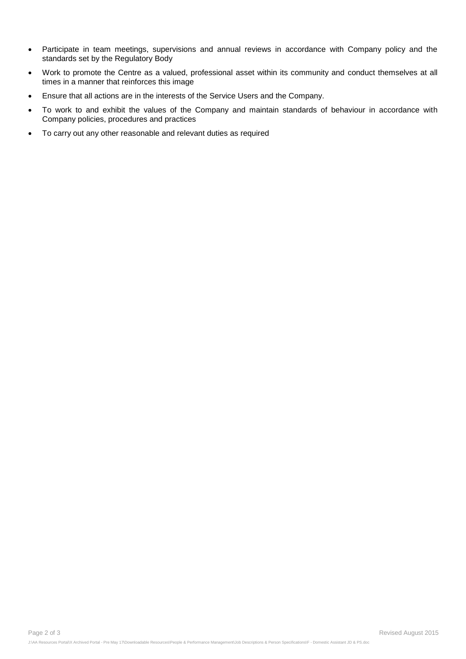- Participate in team meetings, supervisions and annual reviews in accordance with Company policy and the standards set by the Regulatory Body
- Work to promote the Centre as a valued, professional asset within its community and conduct themselves at all times in a manner that reinforces this image
- Ensure that all actions are in the interests of the Service Users and the Company.
- To work to and exhibit the values of the Company and maintain standards of behaviour in accordance with Company policies, procedures and practices
- To carry out any other reasonable and relevant duties as required